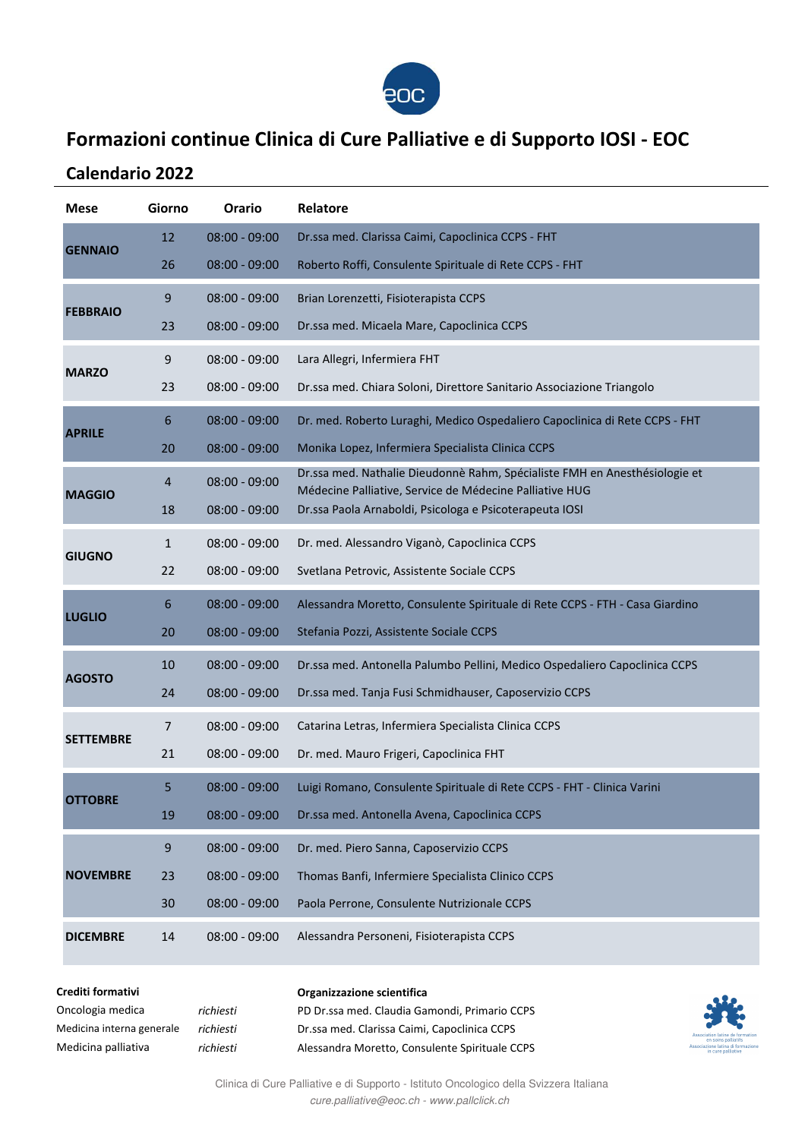

### **Formazioni continue Clinica di Cure Palliative e di Supporto IOSI - EOC**

### **Calendario 2022**

| <b>Mese</b>      | Giorno         | Orario          | Relatore                                                                                                                              |
|------------------|----------------|-----------------|---------------------------------------------------------------------------------------------------------------------------------------|
| <b>GENNAIO</b>   | 12             | $08:00 - 09:00$ | Dr.ssa med. Clarissa Caimi, Capoclinica CCPS - FHT                                                                                    |
|                  | 26             | $08:00 - 09:00$ | Roberto Roffi, Consulente Spirituale di Rete CCPS - FHT                                                                               |
| <b>FEBBRAIO</b>  | 9              | $08:00 - 09:00$ | Brian Lorenzetti, Fisioterapista CCPS                                                                                                 |
|                  | 23             | $08:00 - 09:00$ | Dr.ssa med. Micaela Mare, Capoclinica CCPS                                                                                            |
| <b>MARZO</b>     | 9              | $08:00 - 09:00$ | Lara Allegri, Infermiera FHT                                                                                                          |
|                  | 23             | $08:00 - 09:00$ | Dr.ssa med. Chiara Soloni, Direttore Sanitario Associazione Triangolo                                                                 |
| <b>APRILE</b>    | 6              | $08:00 - 09:00$ | Dr. med. Roberto Luraghi, Medico Ospedaliero Capoclinica di Rete CCPS - FHT                                                           |
|                  | 20             | $08:00 - 09:00$ | Monika Lopez, Infermiera Specialista Clinica CCPS                                                                                     |
|                  | $\overline{4}$ | $08:00 - 09:00$ | Dr.ssa med. Nathalie Dieudonnè Rahm, Spécialiste FMH en Anesthésiologie et<br>Médecine Palliative, Service de Médecine Palliative HUG |
| <b>MAGGIO</b>    | 18             | $08:00 - 09:00$ | Dr.ssa Paola Arnaboldi, Psicologa e Psicoterapeuta IOSI                                                                               |
|                  | $\mathbf{1}$   | $08:00 - 09:00$ | Dr. med. Alessandro Viganò, Capoclinica CCPS                                                                                          |
| <b>GIUGNO</b>    | 22             | $08:00 - 09:00$ | Svetlana Petrovic, Assistente Sociale CCPS                                                                                            |
| <b>LUGLIO</b>    | 6              | $08:00 - 09:00$ | Alessandra Moretto, Consulente Spirituale di Rete CCPS - FTH - Casa Giardino                                                          |
|                  | 20             | $08:00 - 09:00$ | Stefania Pozzi, Assistente Sociale CCPS                                                                                               |
| <b>AGOSTO</b>    | 10             | $08:00 - 09:00$ | Dr.ssa med. Antonella Palumbo Pellini, Medico Ospedaliero Capoclinica CCPS                                                            |
|                  | 24             | $08:00 - 09:00$ | Dr.ssa med. Tanja Fusi Schmidhauser, Caposervizio CCPS                                                                                |
| <b>SETTEMBRE</b> | 7              | $08:00 - 09:00$ | Catarina Letras, Infermiera Specialista Clinica CCPS                                                                                  |
|                  | 21             | $08:00 - 09:00$ | Dr. med. Mauro Frigeri, Capoclinica FHT                                                                                               |
| <b>OTTOBRE</b>   | 5              | $08:00 - 09:00$ | Luigi Romano, Consulente Spirituale di Rete CCPS - FHT - Clinica Varini                                                               |
|                  | 19             | $08:00 - 09:00$ | Dr.ssa med. Antonella Avena, Capoclinica CCPS                                                                                         |
| <b>NOVEMBRE</b>  | 9              | $08:00 - 09:00$ | Dr. med. Piero Sanna, Caposervizio CCPS                                                                                               |
|                  | 23             | $08:00 - 09:00$ | Thomas Banfi, Infermiere Specialista Clinico CCPS                                                                                     |
|                  | 30             | $08:00 - 09:00$ | Paola Perrone, Consulente Nutrizionale CCPS                                                                                           |
| <b>DICEMBRE</b>  | 14             | $08:00 - 09:00$ | Alessandra Personeni, Fisioterapista CCPS                                                                                             |

#### **Crediti formativi**

| Oncologia medica          | ricł |  |
|---------------------------|------|--|
| Medicina interna generale | ricł |  |
| Medicina palliativa       | ricł |  |

### **Organizzazione scientifica** *richiesti* PD Dr.ssa med. Claudia Gamondi, Primario CCPS *richiesti* Dr.ssa med. Clarissa Caimi, Capoclinica CCPS *richiesti* Alessandra Moretto, Consulente Spirituale CCPS